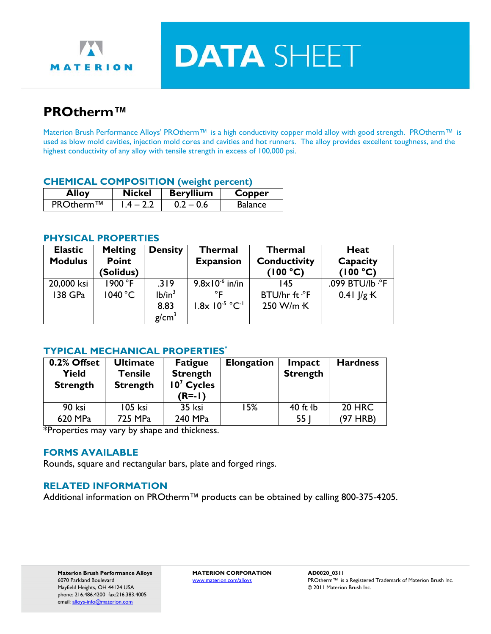

**DATA SHEET** 

# **PROtherm™**

Materion Brush Performance Alloys' PROtherm™ is a high conductivity copper mold alloy with good strength. PROtherm™ is used as blow mold cavities, injection mold cores and cavities and hot runners. The alloy provides excellent toughness, and the highest conductivity of any alloy with tensile strength in excess of 100,000 psi.

#### **CHEMICAL COMPOSITION (weight percent)**

| <b>Alloy</b> | <b>Nickel</b> | <b>Beryllium</b> | Copper         |
|--------------|---------------|------------------|----------------|
| PROtherm™    | $1.4 - 2.2$   | $0.2 - 0.6$      | <b>Balance</b> |

#### **PHYSICAL PROPERTIES**

| <b>Elastic</b> | <b>Melting</b> | <b>Density</b>     | <b>Thermal</b>                          | <b>Thermal</b>       | <b>Heat</b>     |
|----------------|----------------|--------------------|-----------------------------------------|----------------------|-----------------|
| <b>Modulus</b> | <b>Point</b>   |                    | <b>Conductivity</b><br><b>Expansion</b> |                      | Capacity        |
|                | (Solidus)      |                    |                                         | (100 °C)             | (100 °C)        |
| 20,000 ksi     | 1900 °F        | .319               | $9.8 \times 10^{-6}$ in/in              | 145                  | .099 BTU/lb .°F |
| 138 GPa        | 1040 °C        | lb/in <sup>3</sup> |                                         | BTU/hr ft $\cdot$ °F | $0.41$ $1/g$ K  |
|                |                | 8.83               | $1.8x 10^{-5} °C^{-1}$                  | 250 W/m K            |                 |
|                |                | g/cm <sup>3</sup>  |                                         |                      |                 |

## **TYPICAL MECHANICAL PROPERTIES\***

| 0.2% Offset<br><b>Yield</b><br><b>Strength</b> | <b>Ultimate</b><br><b>Tensile</b><br><b>Strength</b> | <b>Fatigue</b><br><b>Strength</b><br>$107$ Cycles<br>$(R=1)$ | <b>Elongation</b> | Impact<br><b>Strength</b> | <b>Hardness</b> |
|------------------------------------------------|------------------------------------------------------|--------------------------------------------------------------|-------------------|---------------------------|-----------------|
| 90 ksi                                         | 105 ksi                                              | 35 ksi                                                       | 15%               | $40$ ft $1b$              | <b>20 HRC</b>   |
| 620 MPa                                        | 725 MPa                                              | 240 MPa                                                      |                   | 55                        | (97 HRB)        |

\*Properties may vary by shape and thickness.

## **FORMS AVAILABLE**

Rounds, square and rectangular bars, plate and forged rings.

## **RELATED INFORMATION**

Additional information on PROtherm™ products can be obtained by calling 800-375-4205.

**Materion Brush Performance Alloys MATERION CORPORATION AD0020\_0311**